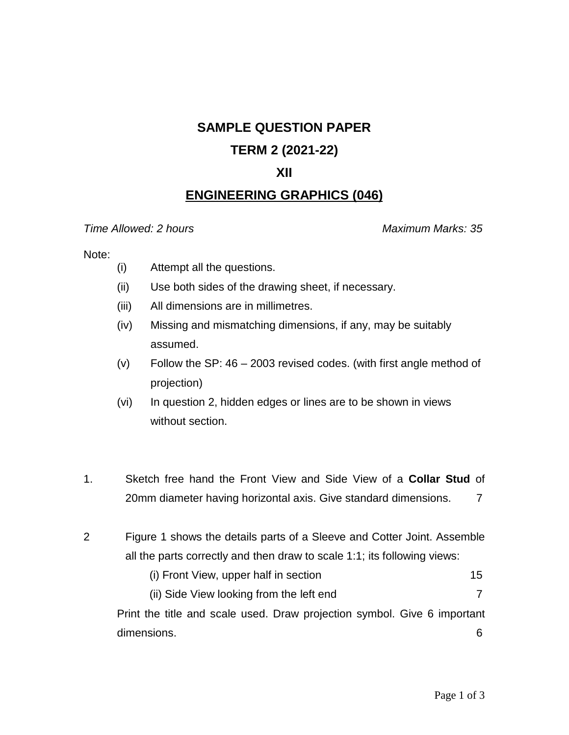# **SAMPLE QUESTION PAPER**

## **TERM 2 (2021-22)**

### **XII**

## **ENGINEERING GRAPHICS (046)**

#### *Time Allowed: 2 hours Maximum Marks: 35*

#### Note:

- (i) Attempt all the questions.
- (ii) Use both sides of the drawing sheet, if necessary.
- (iii) All dimensions are in millimetres.
- (iv) Missing and mismatching dimensions, if any, may be suitably assumed.
- $(v)$  Follow the SP: 46 2003 revised codes. (with first angle method of projection)
- (vi) In question 2, hidden edges or lines are to be shown in views without section.
- 1. Sketch free hand the Front View and Side View of a **Collar Stud** of 20mm diameter having horizontal axis. Give standard dimensions. 7
- 2 Figure 1 shows the details parts of a Sleeve and Cotter Joint. Assemble all the parts correctly and then draw to scale 1:1; its following views:
	- (i) Front View, upper half in section 15
	- (ii) Side View looking from the left end 7

Print the title and scale used. Draw projection symbol. Give 6 important dimensions. 6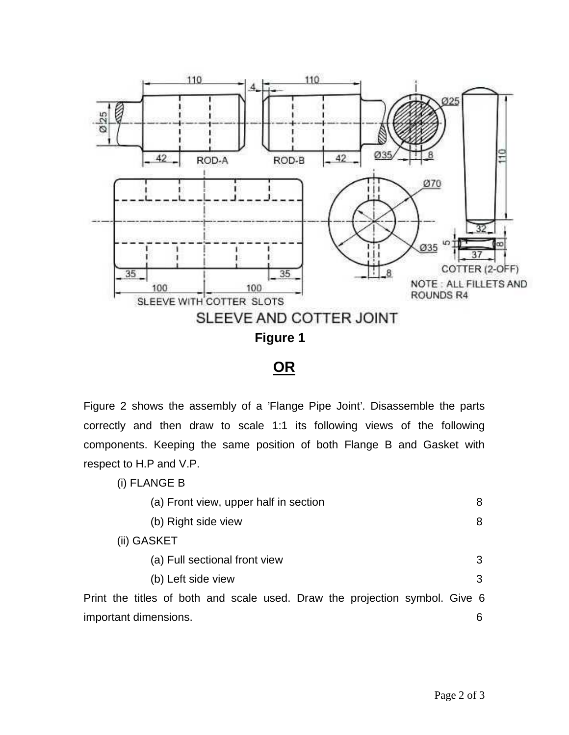

**OR**

Figure 2 shows the assembly of a 'Flange Pipe Joint'. Disassemble the parts correctly and then draw to scale 1:1 its following views of the following components. Keeping the same position of both Flange B and Gasket with respect to H.P and V.P.

| (i) FLANGE B                                                                |   |
|-----------------------------------------------------------------------------|---|
| (a) Front view, upper half in section                                       | 8 |
| (b) Right side view                                                         | 8 |
| (ii) GASKET                                                                 |   |
| (a) Full sectional front view                                               | 3 |
| (b) Left side view                                                          | 3 |
| Print the titles of both and scale used. Draw the projection symbol. Give 6 |   |
| important dimensions.                                                       | 6 |